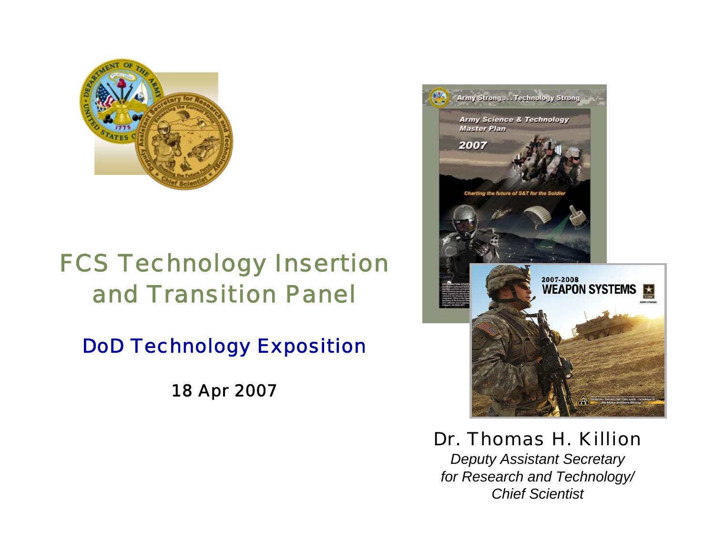

## *FCS Technology Insertion and Transition Panel*

*DoD Technology Exposition*

*18 Apr 2007*



*Dr. Thomas H. Killion*

*Deputy Assistant Secretary for Research and Technology/ Chief Scientist*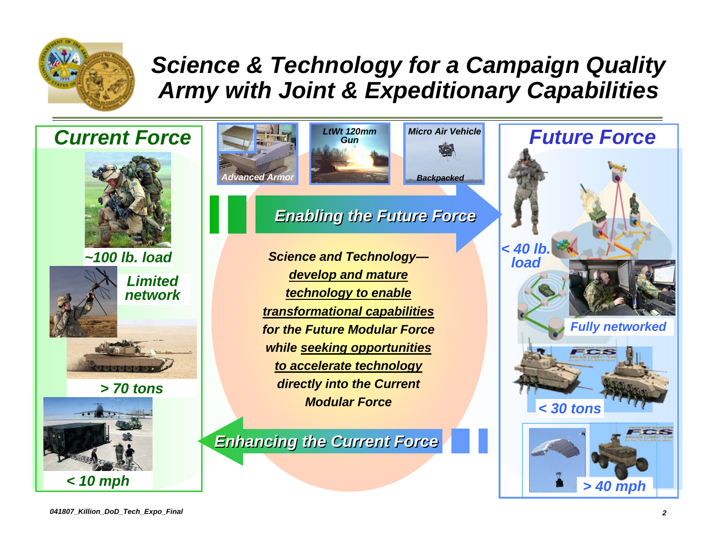

## *Science & Technology for a Campaign Quality Army with Joint & Expeditionary Capabilities*

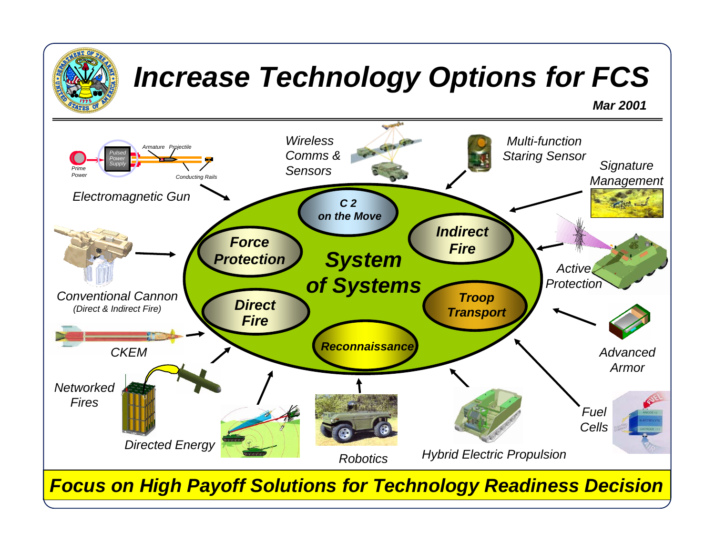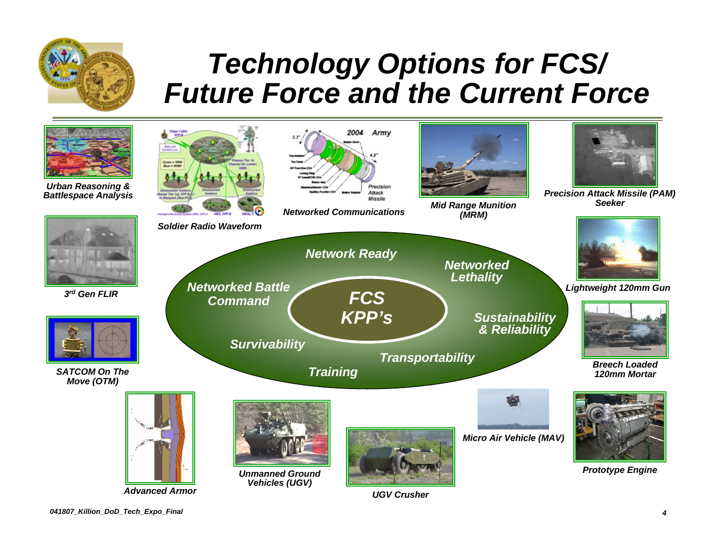

## *Technology Options for FCS/ Future Force and the Current Force*

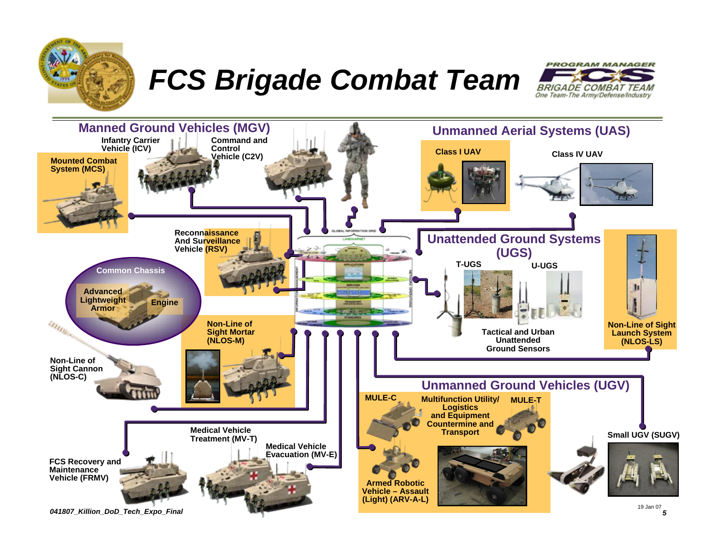

*FCS Brigade Combat Team*